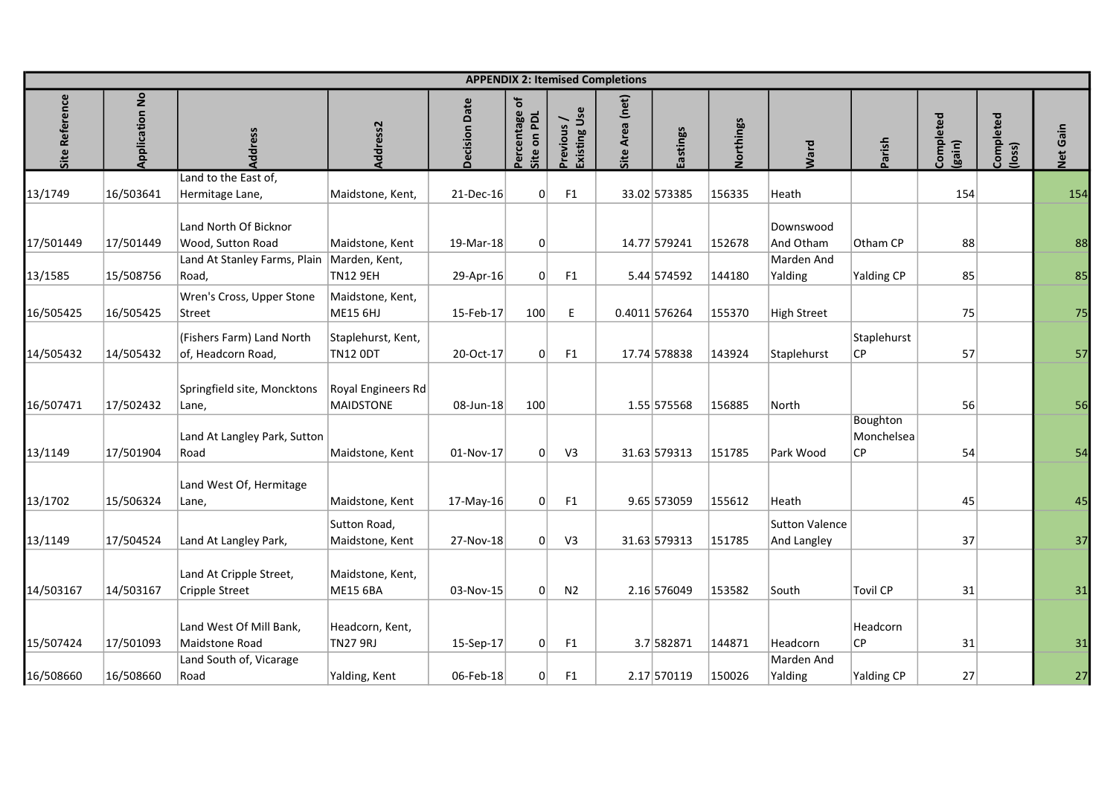|                |                     |                                                                   |                                       |                      |                                |                           | <b>APPENDIX 2: Itemised Completions</b> |               |           |                               |                               |                   |                    |             |
|----------------|---------------------|-------------------------------------------------------------------|---------------------------------------|----------------------|--------------------------------|---------------------------|-----------------------------------------|---------------|-----------|-------------------------------|-------------------------------|-------------------|--------------------|-------------|
| erence<br>Site | tion No<br>Applicat |                                                                   | $\frac{1}{\sigma}$                    | ecision<br>Date<br>⌒ | ercentage of<br>on PDL<br>Site | Existing Use<br>revious / | Area (net)<br>Le                        | astings       | Northings | Ward                          | arish                         | ompleted<br>gain) | ompleted<br>(loss) | Gain<br>Net |
|                |                     | Land to the East of,                                              |                                       |                      |                                |                           |                                         |               |           |                               |                               |                   |                    |             |
| 13/1749        | 16/503641           | Hermitage Lane,<br>Land North Of Bicknor                          | Maidstone, Kent,                      | 21-Dec-16            | $\Omega$                       | F1                        |                                         | 33.02 573385  | 156335    | Heath<br>Downswood            |                               | 154               |                    | 154         |
| 17/501449      | 17/501449           | Wood, Sutton Road<br>Land At Stanley Farms, Plain   Marden, Kent, | Maidstone, Kent                       | 19-Mar-18            | 0                              |                           |                                         | 14.77 579241  | 152678    | And Otham<br>Marden And       | Otham CP                      | 88                |                    | 88          |
| 13/1585        | 15/508756           | Road,                                                             | <b>TN12 9EH</b>                       | 29-Apr-16            | 0                              | F1                        |                                         | 5.44 574592   | 144180    | Yalding                       | Yalding CP                    | 85                |                    | 85          |
| 16/505425      | 16/505425           | Wren's Cross, Upper Stone<br><b>Street</b>                        | Maidstone, Kent,<br>ME15 6HJ          | 15-Feb-17            | 100                            | E                         |                                         | 0.4011 576264 | 155370    | High Street                   |                               | 75                |                    | 75          |
| 14/505432      | 14/505432           | (Fishers Farm) Land North<br>of, Headcorn Road,                   | Staplehurst, Kent,<br><b>TN12 ODT</b> | 20-Oct-17            | 0                              | F1                        |                                         | 17.74 578838  | 143924    | Staplehurst                   | Staplehurst<br> CP            | 57                |                    | 57          |
| 16/507471      | 17/502432           | Springfield site, Moncktons<br> Lane,                             | Royal Engineers Rd<br>MAIDSTONE       | 08-Jun-18            | 100                            |                           |                                         | 1.55 575568   | 156885    | North                         |                               | 56                |                    | 56          |
| 13/1149        | 17/501904           | Land At Langley Park, Sutton<br>Road                              | Maidstone, Kent                       | 01-Nov-17            | 0                              | V <sub>3</sub>            |                                         | 31.63 579313  | 151785    | Park Wood                     | Boughton<br>Monchelsea<br> CP | 54                |                    | 54          |
| 13/1702        | 15/506324           | Land West Of, Hermitage<br>Lane,                                  | Maidstone, Kent                       | $17$ -May-16         | 0                              | F1                        |                                         | $9.65$ 573059 | 155612    | Heath                         |                               | 45                |                    | 45          |
| 13/1149        | 17/504524           | Land At Langley Park,                                             | Sutton Road,<br>Maidstone, Kent       | 27-Nov-18            | 0                              | V <sub>3</sub>            |                                         | 31.63 579313  | 151785    | Sutton Valence<br>And Langley |                               | 37                |                    | 37          |
| 14/503167      | 14/503167           | Land At Cripple Street,<br>Cripple Street                         | Maidstone, Kent,<br>ME15 6BA          | 03-Nov-15            | 0                              | N <sub>2</sub>            |                                         | 2.16 576049   | 153582    | South                         | Tovil CP                      | 31                |                    | 31          |
| 15/507424      | 17/501093           | Land West Of Mill Bank,<br>Maidstone Road                         | Headcorn, Kent,<br>TN27 9RJ           | 15-Sep-17            | 0                              | F1                        |                                         | 3.7 582871    | 144871    | Headcorn                      | Headcorn<br>CP                | 31                |                    | 31          |
| 16/508660      | 16/508660           | Land South of, Vicarage<br>Road                                   | Yalding, Kent                         | 06-Feb-18            | 0                              | F1                        |                                         | 2.17 570119   | 150026    | Marden And<br>Yalding         | Yalding CP                    | 27                |                    | 27          |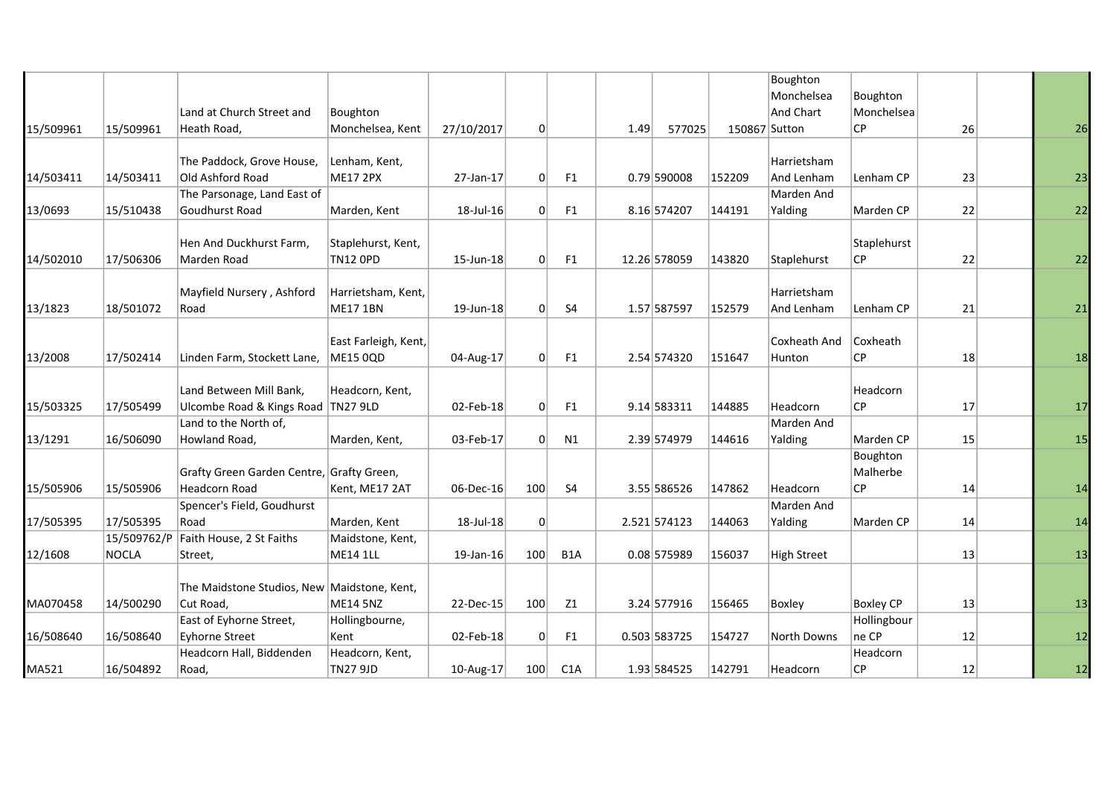|           |             |                                             |                      |              |                |                  |      |               |               | Boughton           |             |    |    |
|-----------|-------------|---------------------------------------------|----------------------|--------------|----------------|------------------|------|---------------|---------------|--------------------|-------------|----|----|
|           |             |                                             |                      |              |                |                  |      |               |               | Monchelsea         | Boughton    |    |    |
|           |             | Land at Church Street and                   | Boughton             |              |                |                  |      |               |               | And Chart          | Monchelsea  |    |    |
| 15/509961 | 15/509961   | Heath Road,                                 | Monchelsea, Kent     | 27/10/2017   | $\overline{0}$ |                  | 1.49 | 577025        | 150867 Sutton |                    | CP          | 26 | 26 |
|           |             |                                             |                      |              |                |                  |      |               |               |                    |             |    |    |
|           |             | The Paddock, Grove House,                   | Lenham, Kent,        |              |                |                  |      |               |               | Harrietsham        |             |    |    |
| 14/503411 | 14/503411   | Old Ashford Road                            | <b>ME17 2PX</b>      | 27-Jan-17    | 0              | F1               |      | $0.79$ 590008 | 152209        | And Lenham         | Lenham CP   | 23 | 23 |
|           |             | The Parsonage, Land East of                 |                      |              |                |                  |      |               |               | Marden And         |             |    |    |
| 13/0693   | 15/510438   | Goudhurst Road                              | Marden, Kent         | 18-Jul-16    | 0              | F <sub>1</sub>   |      | 8.16 574207   | 144191        | Yalding            | Marden CP   | 22 | 22 |
|           |             |                                             |                      |              |                |                  |      |               |               |                    |             |    |    |
|           |             | Hen And Duckhurst Farm,                     | Staplehurst, Kent,   |              |                |                  |      |               |               |                    | Staplehurst |    |    |
| 14/502010 | 17/506306   | Marden Road                                 | <b>TN12 OPD</b>      | 15-Jun-18    | 0              | F1               |      | 12.26 578059  | 143820        | Staplehurst        | CP.         | 22 | 22 |
|           |             | Mayfield Nursery, Ashford                   | Harrietsham, Kent,   |              |                |                  |      |               |               | Harrietsham        |             |    |    |
| 13/1823   | 18/501072   | Road                                        | <b>ME17 1BN</b>      | 19-Jun-18    | 0              | <b>S4</b>        |      | 1.57 587597   | 152579        | And Lenham         | Lenham CP   | 21 | 21 |
|           |             |                                             |                      |              |                |                  |      |               |               |                    |             |    |    |
|           |             |                                             | East Farleigh, Kent, |              |                |                  |      |               |               | Coxheath And       | Coxheath    |    |    |
| 13/2008   | 17/502414   | Linden Farm, Stockett Lane,                 | <b>ME15 0QD</b>      | 04-Aug-17    | 0              | F1               |      | 2.54 574320   | 151647        | Hunton             | CP          | 18 | 18 |
|           |             |                                             |                      |              |                |                  |      |               |               |                    |             |    |    |
|           |             | Land Between Mill Bank,                     | Headcorn, Kent,      |              |                |                  |      |               |               |                    | Headcorn    |    |    |
| 15/503325 | 17/505499   | Ulcombe Road & Kings Road   TN27 9LD        |                      | 02-Feb-18    | 0              | F1               |      | 9.14 583311   | 144885        | Headcorn           | <b>CP</b>   | 17 | 17 |
|           |             | Land to the North of,                       |                      |              |                |                  |      |               |               | Marden And         |             |    |    |
| 13/1291   | 16/506090   | Howland Road,                               | Marden, Kent,        | 03-Feb-17    | 0              | N1               |      | 2.39 574979   | 144616        | Yalding            | Marden CP   | 15 | 15 |
|           |             |                                             |                      |              |                |                  |      |               |               |                    | Boughton    |    |    |
|           |             | Grafty Green Garden Centre, Grafty Green,   |                      |              |                |                  |      |               |               |                    | Malherbe    |    |    |
| 15/505906 | 15/505906   | <b>Headcorn Road</b>                        | Kent, ME17 2AT       | 06-Dec-16    | 100            | S4               |      | 3.55 586526   | 147862        | Headcorn           | <b>CP</b>   | 14 | 14 |
|           |             | Spencer's Field, Goudhurst                  |                      |              |                |                  |      |               |               | Marden And         |             |    |    |
| 17/505395 | 17/505395   | Road                                        | Marden, Kent         | 18-Jul-18    | 0              |                  |      | 2.521 574123  | 144063        | Yalding            | Marden CP   | 14 | 14 |
|           | 15/509762/P | Faith House, 2 St Faiths                    | Maidstone, Kent,     |              |                |                  |      |               |               |                    |             |    |    |
| 12/1608   | NOCLA       | Street,                                     | <b>ME14 1LL</b>      | $19$ -Jan-16 | 100            | B <sub>1</sub> A |      | 0.08 575989   | 156037        | <b>High Street</b> |             | 13 | 13 |
|           |             |                                             |                      |              |                |                  |      |               |               |                    |             |    |    |
|           |             | The Maidstone Studios, New Maidstone, Kent, |                      |              |                |                  |      |               |               |                    |             |    |    |
| MA070458  | 14/500290   | Cut Road,                                   | ME14 5NZ             | 22-Dec-15    | 100            | Z1               |      | 3.24 577916   | 156465        | Boxley             | Boxley CP   | 13 | 13 |
|           |             | East of Eyhorne Street,                     | Hollingbourne,       |              |                |                  |      |               |               |                    | Hollingbour |    |    |
| 16/508640 | 16/508640   | <b>Eyhorne Street</b>                       | Kent                 | 02-Feb-18    | 0              | F1               |      | 0.503 583725  | 154727        | North Downs        | $ ne$ CP    | 12 | 12 |
|           |             | Headcorn Hall, Biddenden                    | Headcorn, Kent,      |              |                |                  |      |               |               |                    | Headcorn    |    |    |
| MA521     | 16/504892   | Road,                                       | <b>TN27 9JD</b>      | 10-Aug-17    | 100            | C <sub>1</sub> A |      | 1.93 584525   | 142791        | Headcorn           | ∣CP         | 12 | 12 |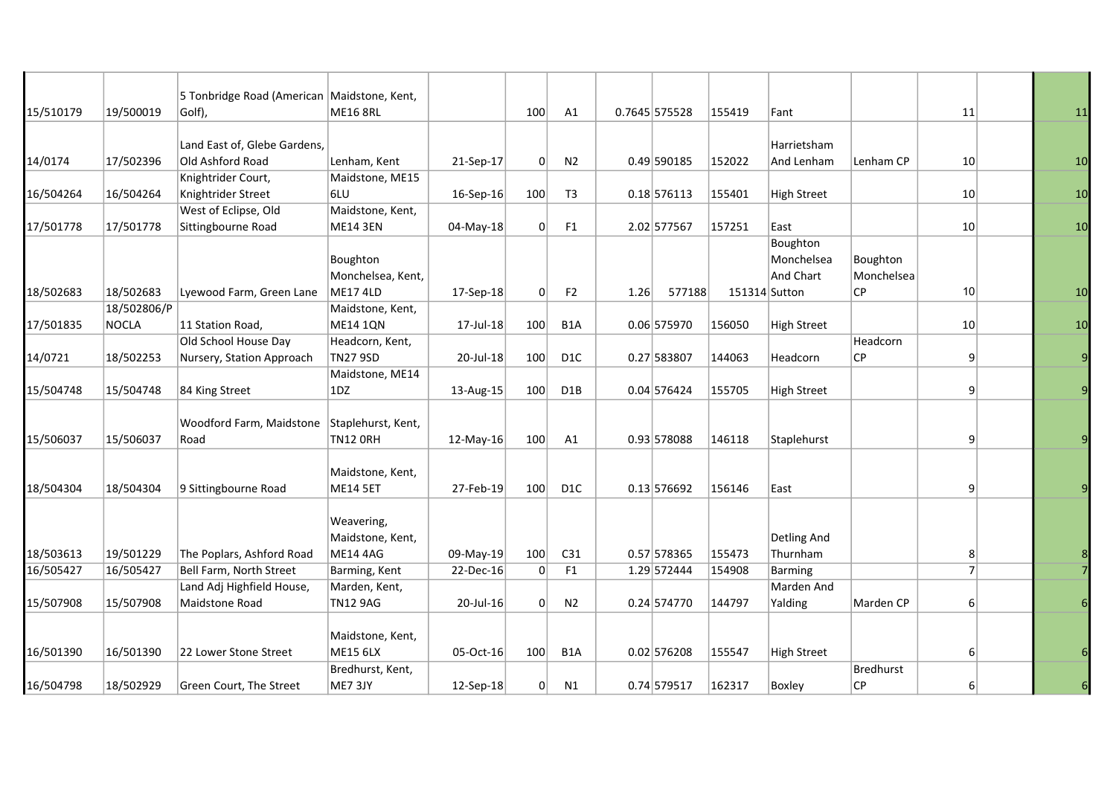| 15/510179 | 19/500019   | 5 Tonbridge Road (American Maidstone, Kent,<br>Golf), | <b>ME16 8RL</b>    |              | 100 | A1               |      | 0.7645 575528 | 155419        | Fant               |                  | 11              | 11 |
|-----------|-------------|-------------------------------------------------------|--------------------|--------------|-----|------------------|------|---------------|---------------|--------------------|------------------|-----------------|----|
|           |             |                                                       |                    |              |     |                  |      |               |               |                    |                  |                 |    |
|           |             | Land East of, Glebe Gardens,                          |                    |              |     |                  |      |               |               | Harrietsham        |                  |                 |    |
| 14/0174   | 17/502396   | Old Ashford Road                                      | Lenham, Kent       | 21-Sep-17    | 0   | N <sub>2</sub>   |      | 0.49 590185   | 152022        | And Lenham         | Lenham CP        | 10              | 10 |
|           |             | Knightrider Court,                                    | Maidstone, ME15    |              |     |                  |      |               |               |                    |                  |                 |    |
| 16/504264 | 16/504264   | Knightrider Street                                    | 6LU                | $16-Sep-16$  | 100 | T <sub>3</sub>   |      | 0.18 576113   | 155401        | <b>High Street</b> |                  | 10 <sup>1</sup> | 10 |
|           |             | West of Eclipse, Old                                  | Maidstone, Kent,   |              |     |                  |      |               |               |                    |                  |                 |    |
| 17/501778 | 17/501778   | Sittingbourne Road                                    | <b>ME14 3EN</b>    | 04-May-18    | 0   | F <sub>1</sub>   |      | 2.02 577567   | 157251        | East               |                  | 10              | 10 |
|           |             |                                                       |                    |              |     |                  |      |               |               | Boughton           |                  |                 |    |
|           |             |                                                       | Boughton           |              |     |                  |      |               |               | Monchelsea         | Boughton         |                 |    |
|           |             |                                                       | Monchelsea, Kent,  |              |     |                  |      |               |               | And Chart          | Monchelsea       |                 |    |
| 18/502683 | 18/502683   | Lyewood Farm, Green Lane                              | <b>ME17 4LD</b>    | 17-Sep-18    | 0   | F <sub>2</sub>   | 1.26 | 577188        | 151314 Sutton |                    | СP               | 10              | 10 |
|           | 18/502806/P |                                                       | Maidstone, Kent,   |              |     |                  |      |               |               |                    |                  |                 |    |
| 17/501835 | NOCLA       | 11 Station Road,                                      | <b>ME14 1QN</b>    | 17-Jul-18    | 100 | B <sub>1</sub> A |      | 0.06 575970   | 156050        | <b>High Street</b> |                  | 10              | 10 |
|           |             | Old School House Day                                  | Headcorn, Kent,    |              |     |                  |      |               |               |                    | Headcorn         |                 |    |
| 14/0721   | 18/502253   | Nursery, Station Approach                             | <b>TN27 9SD</b>    | 20-Jul-18    | 100 | D <sub>1</sub> C |      | 0.27 583807   | 144063        | Headcorn           | СP               | 9               |    |
|           |             |                                                       | Maidstone, ME14    |              |     |                  |      |               |               |                    |                  |                 |    |
| 15/504748 | 15/504748   | 84 King Street                                        | 1DZ                | 13-Aug-15    | 100 | D1B              |      | 0.04 576424   | 155705        | <b>High Street</b> |                  | 9               |    |
|           |             |                                                       |                    |              |     |                  |      |               |               |                    |                  |                 |    |
|           |             | Woodford Farm, Maidstone                              | Staplehurst, Kent, |              |     |                  |      |               |               |                    |                  |                 |    |
| 15/506037 | 15/506037   | Road                                                  | <b>TN12 ORH</b>    | $12$ -May-16 | 100 | A1               |      | 0.93 578088   | 146118        | Staplehurst        |                  | 9               |    |
|           |             |                                                       |                    |              |     |                  |      |               |               |                    |                  |                 |    |
|           |             |                                                       | Maidstone, Kent,   |              |     |                  |      |               |               |                    |                  |                 |    |
| 18/504304 | 18/504304   | 9 Sittingbourne Road                                  | <b>ME14 5ET</b>    | 27-Feb-19    | 100 | D <sub>1</sub> C |      | $0.13$ 576692 | 156146        | East               |                  | 9               |    |
|           |             |                                                       |                    |              |     |                  |      |               |               |                    |                  |                 |    |
|           |             |                                                       | Weavering,         |              |     |                  |      |               |               |                    |                  |                 |    |
|           |             |                                                       | Maidstone, Kent,   |              |     |                  |      |               |               | Detling And        |                  |                 |    |
| 18/503613 | 19/501229   | The Poplars, Ashford Road                             | <b>ME14 4AG</b>    | 09-May-19    | 100 | C31              |      | 0.57 578365   | 155473        | Thurnham           |                  | 8               |    |
| 16/505427 | 16/505427   | Bell Farm, North Street                               | Barming, Kent      | 22-Dec-16    | 0   | F1               |      | 1.29 572444   | 154908        | <b>Barming</b>     |                  | $\overline{7}$  |    |
|           |             | Land Adj Highfield House,                             | Marden, Kent,      |              |     |                  |      |               |               | Marden And         |                  |                 |    |
| 15/507908 | 15/507908   | Maidstone Road                                        | <b>TN12 9AG</b>    | 20-Jul-16    | 0   | N <sub>2</sub>   |      | $0.24$ 574770 | 144797        | Yalding            | Marden CP        | 6               |    |
|           |             |                                                       |                    |              |     |                  |      |               |               |                    |                  |                 |    |
|           |             |                                                       | Maidstone, Kent,   |              |     |                  |      |               |               |                    |                  |                 |    |
| 16/501390 | 16/501390   | 22 Lower Stone Street                                 | <b>ME15 6LX</b>    | 05-Oct-16    | 100 | B <sub>1</sub> A |      | $0.02$ 576208 | 155547        | <b>High Street</b> |                  | 6               |    |
|           |             |                                                       | Bredhurst, Kent,   |              |     |                  |      |               |               |                    | <b>Bredhurst</b> |                 |    |
| 16/504798 | 18/502929   | Green Court, The Street                               | ME7 3JY            | $12-Sep-18$  | 0   | N1               |      | 0.74 579517   | 162317        | Boxley             | CP               | 6               | 6  |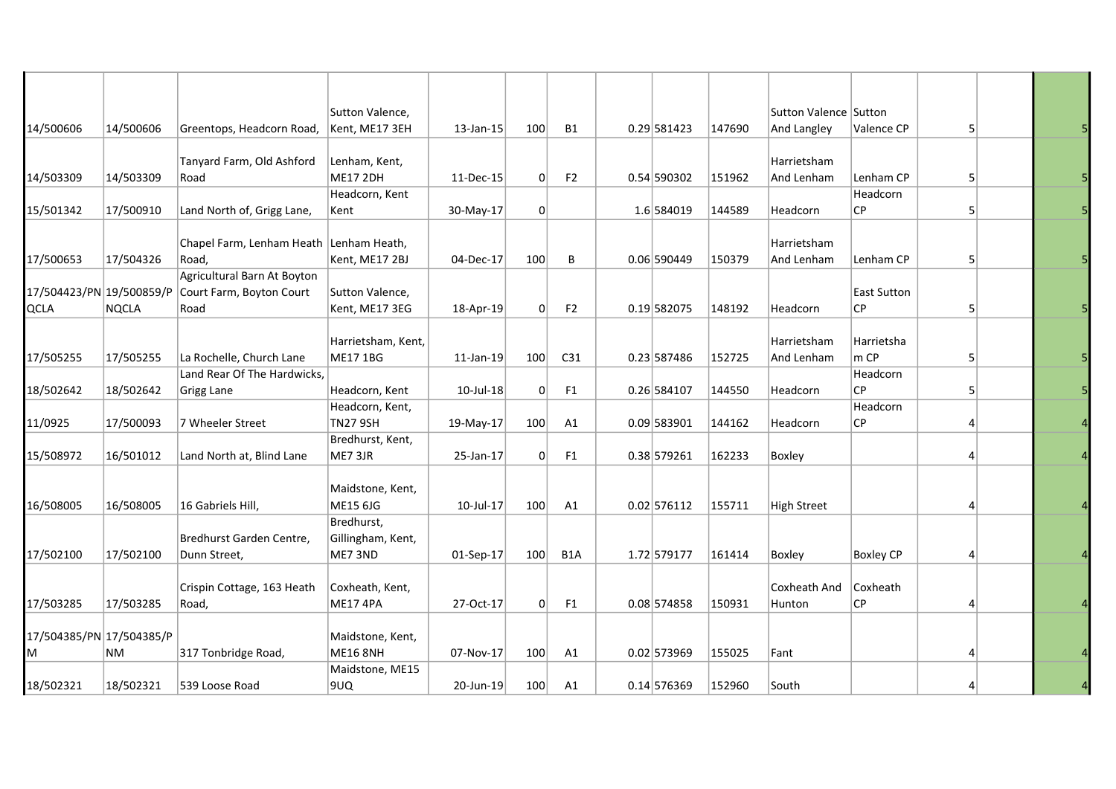|                          |           |                             | Sutton Valence,    |           |     |                  |               |        | Sutton Valence Sutton |                    |                |  |
|--------------------------|-----------|-----------------------------|--------------------|-----------|-----|------------------|---------------|--------|-----------------------|--------------------|----------------|--|
| 14/500606                | 14/500606 | Greentops, Headcorn Road,   | Kent, ME17 3EH     | 13-Jan-15 | 100 | <b>B1</b>        | 0.29 581423   | 147690 | And Langley           | Valence CP         | 5 <sup>1</sup> |  |
|                          |           |                             |                    |           |     |                  |               |        |                       |                    |                |  |
|                          |           | Tanyard Farm, Old Ashford   | Lenham, Kent,      |           |     |                  |               |        | Harrietsham           |                    |                |  |
| 14/503309                | 14/503309 | Road                        | <b>ME17 2DH</b>    | 11-Dec-15 | 0   | F <sub>2</sub>   | 0.54 590302   | 151962 | And Lenham            | Lenham CP          | 5 <sup>1</sup> |  |
|                          |           |                             | Headcorn, Kent     |           |     |                  |               |        |                       | Headcorn           |                |  |
| 15/501342                | 17/500910 | Land North of, Grigg Lane,  | Kent               | 30-May-17 | 0   |                  | 1.6 584019    | 144589 | Headcorn              | <b>CP</b>          | 5              |  |
|                          |           |                             |                    |           |     |                  |               |        |                       |                    |                |  |
|                          |           | Chapel Farm, Lenham Heath   | Lenham Heath,      |           |     |                  |               |        | Harrietsham           |                    |                |  |
| 17/500653                | 17/504326 | Road,                       | Kent, ME17 2BJ     | 04-Dec-17 | 100 | В                | 0.06 590449   | 150379 | And Lenham            | Lenham CP          | 5 <sup>1</sup> |  |
|                          |           | Agricultural Barn At Boyton |                    |           |     |                  |               |        |                       |                    |                |  |
| 17/504423/PN 19/500859/P |           | Court Farm, Boyton Court    | Sutton Valence,    |           |     |                  |               |        |                       | <b>East Sutton</b> |                |  |
| <b>QCLA</b>              | NQCLA     | Road                        | Kent, ME17 3EG     | 18-Apr-19 | 0   | F <sub>2</sub>   | 0.19 582075   | 148192 | Headcorn              | CP                 | 5              |  |
|                          |           |                             |                    |           |     |                  |               |        |                       |                    |                |  |
|                          |           |                             | Harrietsham, Kent, |           |     |                  |               |        | Harrietsham           | Harrietsha         |                |  |
| 17/505255                | 17/505255 | La Rochelle, Church Lane    | <b>ME17 1BG</b>    | 11-Jan-19 | 100 | C31              | 0.23 587486   | 152725 | And Lenham            | m CP               | 5 <sup>1</sup> |  |
|                          |           | Land Rear Of The Hardwicks, |                    |           |     |                  |               |        |                       | Headcorn           |                |  |
| 18/502642                | 18/502642 | Grigg Lane                  | Headcorn, Kent     | 10-Jul-18 | 0   | F <sub>1</sub>   | 0.26 584107   | 144550 | Headcorn              | СP                 | 5              |  |
|                          |           |                             | Headcorn, Kent,    |           |     |                  |               |        |                       | Headcorn           |                |  |
| 11/0925                  | 17/500093 | 7 Wheeler Street            | <b>TN27 9SH</b>    | 19-May-17 | 100 | A1               | 0.09 583901   | 144162 | Headcorn              | СP                 | 4              |  |
|                          |           |                             | Bredhurst, Kent,   |           |     |                  |               |        |                       |                    |                |  |
| 15/508972                | 16/501012 | Land North at, Blind Lane   | ME7 3JR            | 25-Jan-17 | 0   | F <sub>1</sub>   | 0.38 579261   | 162233 | Boxley                |                    | 4              |  |
|                          |           |                             |                    |           |     |                  |               |        |                       |                    |                |  |
|                          |           |                             | Maidstone, Kent,   |           |     |                  |               |        |                       |                    |                |  |
| 16/508005                | 16/508005 | 16 Gabriels Hill,           | ME15 6JG           | 10-Jul-17 | 100 | A1               | 0.02 576112   | 155711 | <b>High Street</b>    |                    | 4              |  |
|                          |           |                             | Bredhurst,         |           |     |                  |               |        |                       |                    |                |  |
|                          |           | Bredhurst Garden Centre,    | Gillingham, Kent,  |           |     |                  |               |        |                       |                    |                |  |
| 17/502100                | 17/502100 | Dunn Street,                | ME7 3ND            | 01-Sep-17 | 100 | B <sub>1</sub> A | 1.72 579177   | 161414 | Boxley                | <b>Boxley CP</b>   | 4              |  |
|                          |           |                             |                    |           |     |                  |               |        |                       |                    |                |  |
|                          |           | Crispin Cottage, 163 Heath  | Coxheath, Kent,    |           |     |                  |               |        | Coxheath And          | Coxheath           |                |  |
| 17/503285                | 17/503285 | Road,                       | <b>ME17 4PA</b>    | 27-Oct-17 | 0   | F <sub>1</sub>   | 0.08 574858   | 150931 | Hunton                | СP                 | 4              |  |
|                          |           |                             |                    |           |     |                  |               |        |                       |                    |                |  |
| 17/504385/PN 17/504385/P |           |                             | Maidstone, Kent,   |           |     |                  |               |        |                       |                    |                |  |
| M                        | <b>NM</b> | 317 Tonbridge Road,         | <b>ME16 8NH</b>    | 07-Nov-17 | 100 | A1               | $0.02$ 573969 | 155025 | Fant                  |                    | 4              |  |
|                          |           |                             | Maidstone, ME15    |           |     |                  |               |        |                       |                    |                |  |
| 18/502321                | 18/502321 | 539 Loose Road              | 9UQ                | 20-Jun-19 | 100 | A1               | $0.14$ 576369 | 152960 | South                 |                    | 4              |  |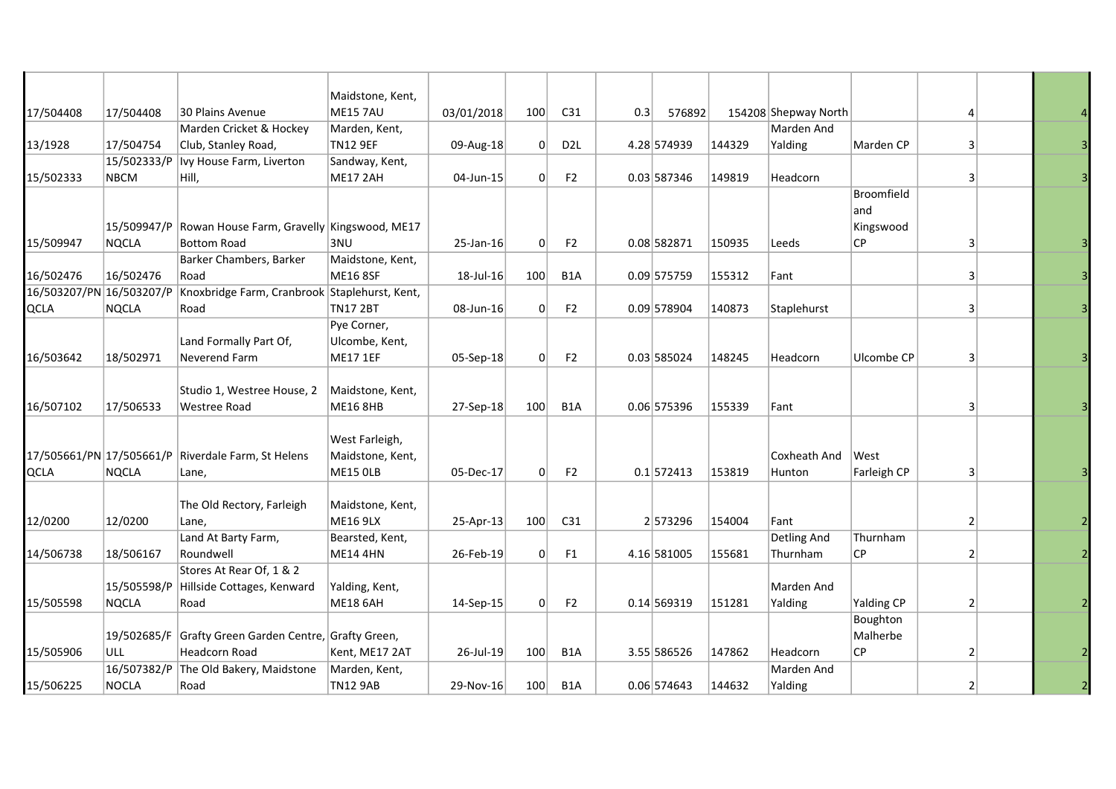|                          |              |                                               | Maidstone, Kent, |            |              |                  |     |               |        |                      |             |                |  |
|--------------------------|--------------|-----------------------------------------------|------------------|------------|--------------|------------------|-----|---------------|--------|----------------------|-------------|----------------|--|
| 17/504408                | 17/504408    | 30 Plains Avenue                              | <b>ME15 7AU</b>  | 03/01/2018 | 100          | C31              | 0.3 | 576892        |        | 154208 Shepway North |             | 4              |  |
|                          |              | Marden Cricket & Hockey                       | Marden, Kent,    |            |              |                  |     |               |        | Marden And           |             |                |  |
| 13/1928                  | 17/504754    | Club, Stanley Road,                           | <b>TN12 9EF</b>  | 09-Aug-18  | 0            | D <sub>2</sub> L |     | 4.28 574939   | 144329 | Yalding              | Marden CP   | 3              |  |
|                          | 15/502333/P  | Ivy House Farm, Liverton                      | Sandway, Kent,   |            |              |                  |     |               |        |                      |             |                |  |
| 15/502333                | <b>NBCM</b>  | Hill,                                         | ME17 2AH         | 04-Jun-15  | 0            | F <sub>2</sub>   |     | $0.03$ 587346 | 149819 | Headcorn             |             | 3              |  |
|                          |              |                                               |                  |            |              |                  |     |               |        |                      | Broomfield  |                |  |
|                          |              |                                               |                  |            |              |                  |     |               |        |                      | and         |                |  |
|                          | 15/509947/P  | Rowan House Farm, Gravelly Kingswood, ME17    |                  |            |              |                  |     |               |        |                      | Kingswood   |                |  |
| 15/509947                | NQCLA        | <b>Bottom Road</b>                            | 3NU              | 25-Jan-16  | 0            | F <sub>2</sub>   |     | 0.08 582871   | 150935 | Leeds                | <b>CP</b>   | 3              |  |
|                          |              | Barker Chambers, Barker                       | Maidstone, Kent, |            |              |                  |     |               |        |                      |             |                |  |
| 16/502476                | 16/502476    | Road                                          | <b>ME16 8SF</b>  | 18-Jul-16  | 100          | B <sub>1</sub> A |     | $0.09$ 575759 | 155312 | Fant                 |             | 3              |  |
| 16/503207/PN 16/503207/P |              | Knoxbridge Farm, Cranbrook Staplehurst, Kent, |                  |            |              |                  |     |               |        |                      |             |                |  |
| <b>QCLA</b>              | <b>NQCLA</b> | Road                                          | TN17 2BT         | 08-Jun-16  | 0            | F <sub>2</sub>   |     | 0.09 578904   | 140873 | Staplehurst          |             | 3              |  |
|                          |              |                                               | Pye Corner,      |            |              |                  |     |               |        |                      |             |                |  |
|                          |              | Land Formally Part Of,                        | Ulcombe, Kent,   |            |              |                  |     |               |        |                      |             |                |  |
| 16/503642                | 18/502971    | Neverend Farm                                 | <b>ME17 1EF</b>  | 05-Sep-18  | 0            | F <sub>2</sub>   |     | $0.03$ 585024 | 148245 | Headcorn             | Ulcombe CP  | 3              |  |
|                          |              |                                               |                  |            |              |                  |     |               |        |                      |             |                |  |
|                          |              | Studio 1, Westree House, 2                    | Maidstone, Kent, |            |              |                  |     |               |        |                      |             |                |  |
| 16/507102                | 17/506533    | Westree Road                                  | <b>ME16 8HB</b>  | 27-Sep-18  | 100          | B <sub>1</sub> A |     | $0.06$ 575396 | 155339 | Fant                 |             | $\vert$ 3      |  |
|                          |              |                                               |                  |            |              |                  |     |               |        |                      |             |                |  |
|                          |              |                                               | West Farleigh,   |            |              |                  |     |               |        |                      |             |                |  |
| 17/505661/PN 17/505661/P |              | Riverdale Farm, St Helens                     | Maidstone, Kent, |            |              |                  |     |               |        | Coxheath And         | West        |                |  |
| <b>QCLA</b>              | <b>NQCLA</b> | Lane,                                         | ME15 OLB         | 05-Dec-17  | $\Omega$     | F <sub>2</sub>   |     | $0.1$ 572413  | 153819 | Hunton               | Farleigh CP | $\vert$ 3      |  |
|                          |              |                                               |                  |            |              |                  |     |               |        |                      |             |                |  |
|                          |              | The Old Rectory, Farleigh                     | Maidstone, Kent, |            |              |                  |     |               |        |                      |             |                |  |
| 12/0200                  | 12/0200      | Lane,                                         | <b>ME16 9LX</b>  | 25-Apr-13  | 100          | C31              |     | 2573296       | 154004 | Fant                 |             | 2              |  |
|                          |              | Land At Barty Farm,                           | Bearsted, Kent,  |            |              |                  |     |               |        | Detling And          | Thurnham    |                |  |
| 14/506738                | 18/506167    | Roundwell                                     | ME14 4HN         | 26-Feb-19  | $\mathsf{O}$ | F <sub>1</sub>   |     | 4.16 581005   | 155681 | Thurnham             | СP          | $\overline{2}$ |  |
|                          |              | Stores At Rear Of, 1 & 2                      |                  |            |              |                  |     |               |        |                      |             |                |  |
|                          | 15/505598/P  | Hillside Cottages, Kenward                    | Yalding, Kent,   |            |              |                  |     |               |        | Marden And           |             |                |  |
| 15/505598                | <b>NQCLA</b> | Road                                          | <b>ME18 6AH</b>  | 14-Sep-15  | $\Omega$     | F <sub>2</sub>   |     | $0.14$ 569319 | 151281 | Yalding              | Yalding CP  | $\overline{2}$ |  |
|                          |              |                                               |                  |            |              |                  |     |               |        |                      | Boughton    |                |  |
|                          | 19/502685/F  | Grafty Green Garden Centre, Grafty Green,     |                  |            |              |                  |     |               |        |                      | Malherbe    |                |  |
| 15/505906                | ULL          | Headcorn Road                                 | Kent, ME17 2AT   | 26-Jul-19  | 100          | B <sub>1</sub> A |     | 3.55 586526   | 147862 | Headcorn             | СP          | 2              |  |
|                          | 16/507382/P  | The Old Bakery, Maidstone                     | Marden, Kent,    |            |              |                  |     |               |        | Marden And           |             |                |  |
| 15/506225                | <b>NOCLA</b> | Road                                          | <b>TN12 9AB</b>  | 29-Nov-16  | 100          | B <sub>1</sub> A |     | 0.06 574643   | 144632 | Yalding              |             | $\overline{2}$ |  |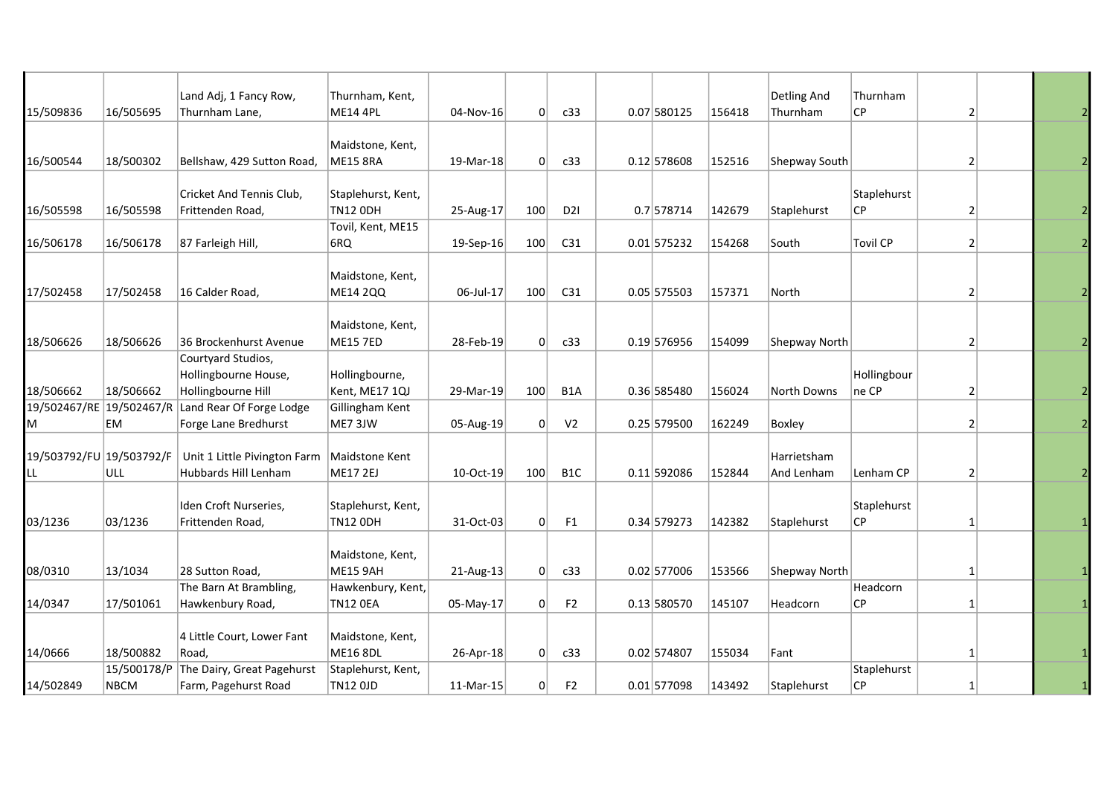|                          |             | Land Adj, 1 Fancy Row,       | Thurnham, Kent,    |             |          |                  |               |        | Detling And          | Thurnham        |                |  |
|--------------------------|-------------|------------------------------|--------------------|-------------|----------|------------------|---------------|--------|----------------------|-----------------|----------------|--|
| 15/509836                | 16/505695   | Thurnham Lane,               | <b>ME14 4PL</b>    | 04-Nov-16   | 0        | c33              | 0.07 580125   | 156418 | Thurnham             | СP              | 2              |  |
|                          |             |                              |                    |             |          |                  |               |        |                      |                 |                |  |
|                          |             |                              | Maidstone, Kent,   |             |          |                  |               |        |                      |                 |                |  |
| 16/500544                | 18/500302   | Bellshaw, 429 Sutton Road,   | <b>ME15 8RA</b>    | 19-Mar-18   | 0        | c33              | $0.12$ 578608 | 152516 | Shepway South        |                 | 2              |  |
|                          |             |                              |                    |             |          |                  |               |        |                      |                 |                |  |
|                          |             | Cricket And Tennis Club,     | Staplehurst, Kent, |             |          |                  |               |        |                      | Staplehurst     |                |  |
| 16/505598                | 16/505598   | Frittenden Road,             | <b>TN12 ODH</b>    | 25-Aug-17   | 100      | D <sub>21</sub>  | 0.7 578714    | 142679 | Staplehurst          | СP              | 2              |  |
|                          |             |                              | Tovil, Kent, ME15  |             |          |                  |               |        |                      |                 |                |  |
| 16/506178                | 16/506178   | 87 Farleigh Hill,            | 6RQ                | $19-Sep-16$ | 100      | C31              | $0.01$ 575232 | 154268 | South                | <b>Tovil CP</b> | 2              |  |
|                          |             |                              |                    |             |          |                  |               |        |                      |                 |                |  |
|                          |             |                              | Maidstone, Kent,   |             |          |                  |               |        |                      |                 |                |  |
| 17/502458                | 17/502458   | 16 Calder Road,              | <b>ME14 2QQ</b>    | 06-Jul-17   | 100      | C <sub>31</sub>  | $0.05$ 575503 | 157371 | North                |                 | 2              |  |
|                          |             |                              |                    |             |          |                  |               |        |                      |                 |                |  |
|                          |             |                              | Maidstone, Kent,   |             |          |                  |               |        |                      |                 |                |  |
| 18/506626                | 18/506626   | 36 Brockenhurst Avenue       | <b>ME15 7ED</b>    | 28-Feb-19   | 0        | c33              | $0.19$ 576956 | 154099 | Shepway North        |                 | 2              |  |
|                          |             | Courtyard Studios,           |                    |             |          |                  |               |        |                      |                 |                |  |
|                          |             | Hollingbourne House,         | Hollingbourne,     |             |          |                  |               |        |                      | Hollingbour     |                |  |
| 18/506662                | 18/506662   | Hollingbourne Hill           | Kent, ME17 1QJ     | 29-Mar-19   | 100      | B1A              | 0.36 585480   | 156024 | North Downs          | ne CP           | 2              |  |
| 19/502467/RE             | 19/502467/R | Land Rear Of Forge Lodge     | Gillingham Kent    |             |          |                  |               |        |                      |                 |                |  |
| M                        | EM          | Forge Lane Bredhurst         | ME7 3JW            | 05-Aug-19   | 0        | V <sub>2</sub>   | $0.25$ 579500 | 162249 | Boxley               |                 | 2              |  |
| 19/503792/FU 19/503792/F |             | Unit 1 Little Pivington Farm | Maidstone Kent     |             |          |                  |               |        | Harrietsham          |                 |                |  |
|                          | ull         | Hubbards Hill Lenham         | <b>ME17 2EJ</b>    | 10-Oct-19   | 100      | B <sub>1</sub> C | 0.11 592086   | 152844 | And Lenham           | Lenham CP       | $\overline{2}$ |  |
|                          |             |                              |                    |             |          |                  |               |        |                      |                 |                |  |
|                          |             | Iden Croft Nurseries,        | Staplehurst, Kent, |             |          |                  |               |        |                      | Staplehurst     |                |  |
| 03/1236                  | 03/1236     | Frittenden Road,             | <b>TN12 ODH</b>    | 31-Oct-03   | 0        | F1               | 0.34 579273   | 142382 | Staplehurst          | СP              | 1              |  |
|                          |             |                              |                    |             |          |                  |               |        |                      |                 |                |  |
|                          |             |                              | Maidstone, Kent,   |             |          |                  |               |        |                      |                 |                |  |
| 08/0310                  | 13/1034     | 28 Sutton Road,              | <b>ME15 9AH</b>    | 21-Aug-13   | 0        | c33              | 0.02 577006   | 153566 | <b>Shepway North</b> |                 | 1              |  |
|                          |             | The Barn At Brambling,       | Hawkenbury, Kent,  |             |          |                  |               |        |                      | Headcorn        |                |  |
| 14/0347                  | 17/501061   | Hawkenbury Road,             | <b>TN12 OEA</b>    | 05-May-17   | 0        | F <sub>2</sub>   | 0.13 580570   | 145107 | Headcorn             | СP              | $\mathbf{1}$   |  |
|                          |             |                              |                    |             |          |                  |               |        |                      |                 |                |  |
|                          |             | 4 Little Court, Lower Fant   | Maidstone, Kent,   |             |          |                  |               |        |                      |                 |                |  |
| 14/0666                  | 18/500882   | Road,                        | <b>ME16 8DL</b>    | 26-Apr-18   | 0        | c33              | 0.02 574807   | 155034 | Fant                 |                 | $\mathbf{1}$   |  |
|                          | 15/500178/P | The Dairy, Great Pagehurst   | Staplehurst, Kent, |             |          |                  |               |        |                      | Staplehurst     |                |  |
| 14/502849                | <b>NBCM</b> | Farm, Pagehurst Road         | TN12 0JD           | 11-Mar-15   | $\Omega$ | F <sub>2</sub>   | 0.01 577098   | 143492 | Staplehurst          | СP              | 1              |  |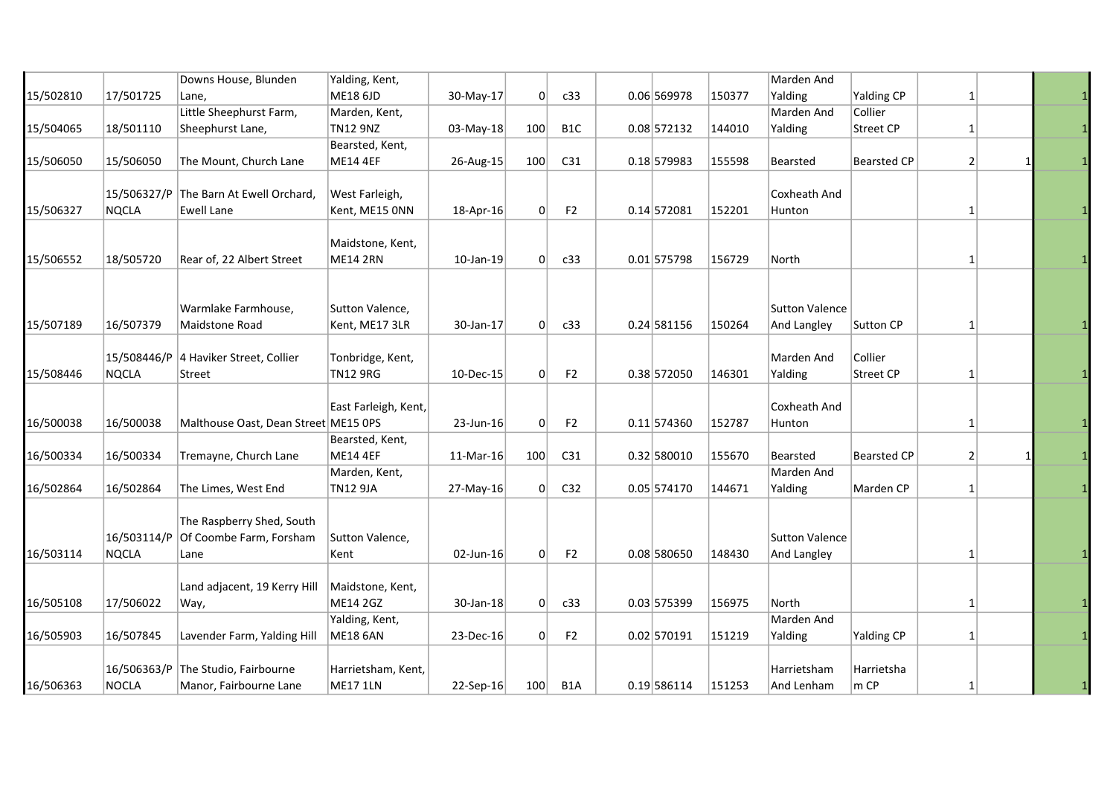|           |              | Downs House, Blunden                   | Yalding, Kent,                   |             |          |                  |               |        | Marden And            |                    |              |  |
|-----------|--------------|----------------------------------------|----------------------------------|-------------|----------|------------------|---------------|--------|-----------------------|--------------------|--------------|--|
| 15/502810 | 17/501725    | Lane,                                  | ME18 6JD                         | 30-May-17   | 0        | c33              | $0.06$ 569978 | 150377 | Yalding               | Yalding CP         | $\mathbf{1}$ |  |
|           |              | Little Sheephurst Farm,                | Marden, Kent,                    |             |          |                  |               |        | Marden And            | Collier            |              |  |
| 15/504065 | 18/501110    | Sheephurst Lane,                       | <b>TN12 9NZ</b>                  | 03-May-18   | 100      | B <sub>1</sub> C | $0.08$ 572132 | 144010 | Yalding               | Street CP          | 1            |  |
|           |              |                                        | Bearsted, Kent,                  |             |          |                  |               |        |                       |                    |              |  |
| 15/506050 | 15/506050    | The Mount, Church Lane                 | <b>ME14 4EF</b>                  | 26-Aug-15   | 100      | C <sub>31</sub>  | $0.18$ 579983 | 155598 | Bearsted              | <b>Bearsted CP</b> | 2            |  |
|           |              |                                        |                                  |             |          |                  |               |        |                       |                    |              |  |
|           |              | 15/506327/P The Barn At Ewell Orchard, | West Farleigh,                   |             |          |                  |               |        | Coxheath And          |                    |              |  |
| 15/506327 | NQCLA        | <b>Ewell Lane</b>                      | Kent, ME15 ONN                   | 18-Apr-16   | $\Omega$ | F <sub>2</sub>   | 0.14 572081   | 152201 | Hunton                |                    | 1            |  |
|           |              |                                        |                                  |             |          |                  |               |        |                       |                    |              |  |
|           |              |                                        | Maidstone, Kent,                 |             |          |                  |               |        |                       |                    |              |  |
| 15/506552 | 18/505720    | Rear of, 22 Albert Street              | <b>ME14 2RN</b>                  | 10-Jan-19   | 0        | c33              | $0.01$ 575798 | 156729 | North                 |                    | 1            |  |
|           |              |                                        |                                  |             |          |                  |               |        |                       |                    |              |  |
|           |              |                                        |                                  |             |          |                  |               |        |                       |                    |              |  |
|           |              | Warmlake Farmhouse,                    | Sutton Valence,                  |             |          |                  |               |        | <b>Sutton Valence</b> |                    |              |  |
| 15/507189 | 16/507379    | Maidstone Road                         | Kent, ME17 3LR                   | 30-Jan-17   | 0        | c33              | 0.24 581156   | 150264 | And Langley           | Sutton CP          | 1            |  |
|           |              |                                        |                                  |             |          |                  |               |        |                       |                    |              |  |
|           |              | 15/508446/P 4 Haviker Street, Collier  | Tonbridge, Kent,                 |             |          |                  |               |        | Marden And            | Collier            |              |  |
| 15/508446 | <b>NQCLA</b> | Street                                 | <b>TN12 9RG</b>                  | 10-Dec-15   | $\Omega$ | F <sub>2</sub>   | 0.38 572050   | 146301 | Yalding               | Street CP          | 1            |  |
|           |              |                                        |                                  |             |          |                  |               |        |                       |                    |              |  |
|           |              |                                        | East Farleigh, Kent,             |             |          |                  |               |        | Coxheath And          |                    |              |  |
| 16/500038 | 16/500038    | Malthouse Oast, Dean Street ME15 OPS   |                                  | 23-Jun-16   | $\Omega$ | F <sub>2</sub>   | $0.11$ 574360 | 152787 | Hunton                |                    | 1            |  |
|           |              |                                        | Bearsted, Kent,                  |             |          |                  |               |        |                       |                    |              |  |
| 16/500334 | 16/500334    | Tremayne, Church Lane                  | <b>ME14 4EF</b>                  | 11-Mar-16   | 100      | C <sub>31</sub>  | 0.32 580010   | 155670 | <b>Bearsted</b>       | <b>Bearsted CP</b> | 2            |  |
|           |              |                                        |                                  |             |          |                  |               |        | Marden And            |                    |              |  |
|           | 16/502864    | The Limes, West End                    | Marden, Kent,<br><b>TN12 9JA</b> |             |          | C32              | 0.05 574170   | 144671 | Yalding               | Marden CP          |              |  |
| 16/502864 |              |                                        |                                  | 27-May-16   | 0        |                  |               |        |                       |                    | 1            |  |
|           |              | The Raspberry Shed, South              |                                  |             |          |                  |               |        |                       |                    |              |  |
|           | 16/503114/P  |                                        |                                  |             |          |                  |               |        | <b>Sutton Valence</b> |                    |              |  |
|           |              | Of Coombe Farm, Forsham                | Sutton Valence,                  |             |          |                  |               |        |                       |                    |              |  |
| 16/503114 | NQCLA        | Lane                                   | Kent                             | 02-Jun-16   | $\Omega$ | F <sub>2</sub>   | 0.08 580650   | 148430 | And Langley           |                    | 1            |  |
|           |              |                                        |                                  |             |          |                  |               |        |                       |                    |              |  |
|           |              | Land adjacent, 19 Kerry Hill           | Maidstone, Kent,                 |             |          |                  |               |        |                       |                    |              |  |
| 16/505108 | 17/506022    | Way,                                   | ME14 2GZ                         | 30-Jan-18   | 0        | c33              | $0.03$ 575399 | 156975 | North                 |                    | 1            |  |
|           |              |                                        | Yalding, Kent,                   |             |          |                  |               |        | Marden And            |                    |              |  |
| 16/505903 | 16/507845    | Lavender Farm, Yalding Hill            | <b>ME18 6AN</b>                  | 23-Dec-16   | 0        | F <sub>2</sub>   | 0.02 570191   | 151219 | Yalding               | <b>Yalding CP</b>  | $\mathbf{1}$ |  |
|           |              |                                        |                                  |             |          |                  |               |        |                       |                    |              |  |
|           |              | 16/506363/P The Studio, Fairbourne     | Harrietsham, Kent,               |             |          |                  |               |        | Harrietsham           | Harrietsha         |              |  |
| 16/506363 | NOCLA        | Manor, Fairbourne Lane                 | <b>ME17 1LN</b>                  | $22-Sep-16$ | 100      | B <sub>1</sub> A | 0.19 586114   | 151253 | And Lenham            | $m$ CP             | 1            |  |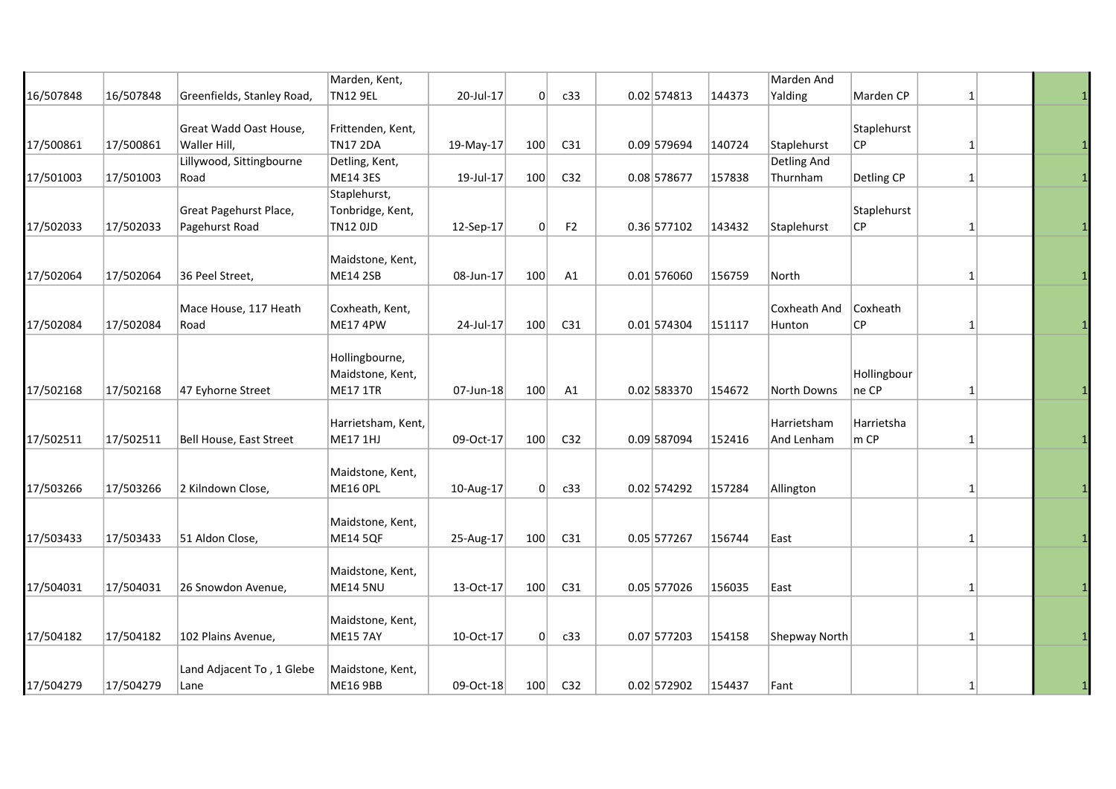|           |           |                                          | Marden, Kent,                                         |           |          |                 |               |        | Marden And                |                      |              |  |
|-----------|-----------|------------------------------------------|-------------------------------------------------------|-----------|----------|-----------------|---------------|--------|---------------------------|----------------------|--------------|--|
| 16/507848 | 16/507848 | Greenfields, Stanley Road,               | <b>TN12 9EL</b>                                       | 20-Jul-17 | 0        | c33             | $0.02$ 574813 | 144373 | Yalding                   | Marden CP            | 1            |  |
| 17/500861 | 17/500861 | Great Wadd Oast House,<br>Waller Hill,   | Frittenden, Kent,<br><b>TN17 2DA</b>                  | 19-May-17 | 100      | C31             | 0.09 579694   | 140724 | Staplehurst               | Staplehurst<br>СP    | 1            |  |
|           |           | Lillywood, Sittingbourne                 | Detling, Kent,                                        |           |          |                 |               |        | Detling And               |                      |              |  |
| 17/501003 | 17/501003 | Road                                     | <b>ME14 3ES</b>                                       | 19-Jul-17 | 100      | C32             | 0.08 578677   | 157838 | Thurnham                  | Detling CP           | $\mathbf{1}$ |  |
| 17/502033 | 17/502033 | Great Pagehurst Place,<br>Pagehurst Road | Staplehurst,<br>Tonbridge, Kent,<br><b>TN12 OJD</b>   | 12-Sep-17 | $\Omega$ | F <sub>2</sub>  | 0.36 577102   | 143432 | Staplehurst               | Staplehurst<br>СP    | 1            |  |
| 17/502064 | 17/502064 | 36 Peel Street,                          | Maidstone, Kent,<br><b>ME14 2SB</b>                   | 08-Jun-17 | 100      | A1              | $0.01$ 576060 | 156759 | North                     |                      | 1            |  |
| 17/502084 | 17/502084 | Mace House, 117 Heath<br>Road            | Coxheath, Kent,<br>ME17 4PW                           | 24-Jul-17 | 100      | C31             | $0.01$ 574304 | 151117 | Coxheath And<br>Hunton    | Coxheath<br>СP       | 1            |  |
| 17/502168 | 17/502168 | 47 Eyhorne Street                        | Hollingbourne,<br>Maidstone, Kent,<br><b>ME17 1TR</b> | 07-Jun-18 | 100      | A1              | $0.02$ 583370 | 154672 | North Downs               | Hollingbour<br>ne CP | 1            |  |
| 17/502511 | 17/502511 | Bell House, East Street                  | Harrietsham, Kent,<br><b>ME17 1HJ</b>                 | 09-Oct-17 | 100      | C <sub>32</sub> | 0.09 587094   | 152416 | Harrietsham<br>And Lenham | Harrietsha<br>m CP   |              |  |
| 17/503266 | 17/503266 | 2 Kilndown Close,                        | Maidstone, Kent,<br>ME16 OPL                          | 10-Aug-17 | 0        | c33             | $0.02$ 574292 | 157284 | Allington                 |                      | 1            |  |
| 17/503433 | 17/503433 | 51 Aldon Close,                          | Maidstone, Kent,<br><b>ME14 5QF</b>                   | 25-Aug-17 | 100      | C31             | $0.05$ 577267 | 156744 | East                      |                      | 1            |  |
| 17/504031 | 17/504031 | 26 Snowdon Avenue,                       | Maidstone, Kent,<br>ME14 5NU                          | 13-Oct-17 | 100      | C31             | $0.05$ 577026 | 156035 | East                      |                      | 1            |  |
| 17/504182 | 17/504182 | 102 Plains Avenue,                       | Maidstone, Kent,<br><b>ME15 7AY</b>                   | 10-Oct-17 | 0        | c33             | 0.07 577203   | 154158 | <b>Shepway North</b>      |                      | 1            |  |
| 17/504279 | 17/504279 | Land Adjacent To, 1 Glebe<br>Lane        | Maidstone, Kent,<br><b>ME16 9BB</b>                   | 09-Oct-18 | 100      | C32             | $0.02$ 572902 | 154437 | Fant                      |                      | $1\vert$     |  |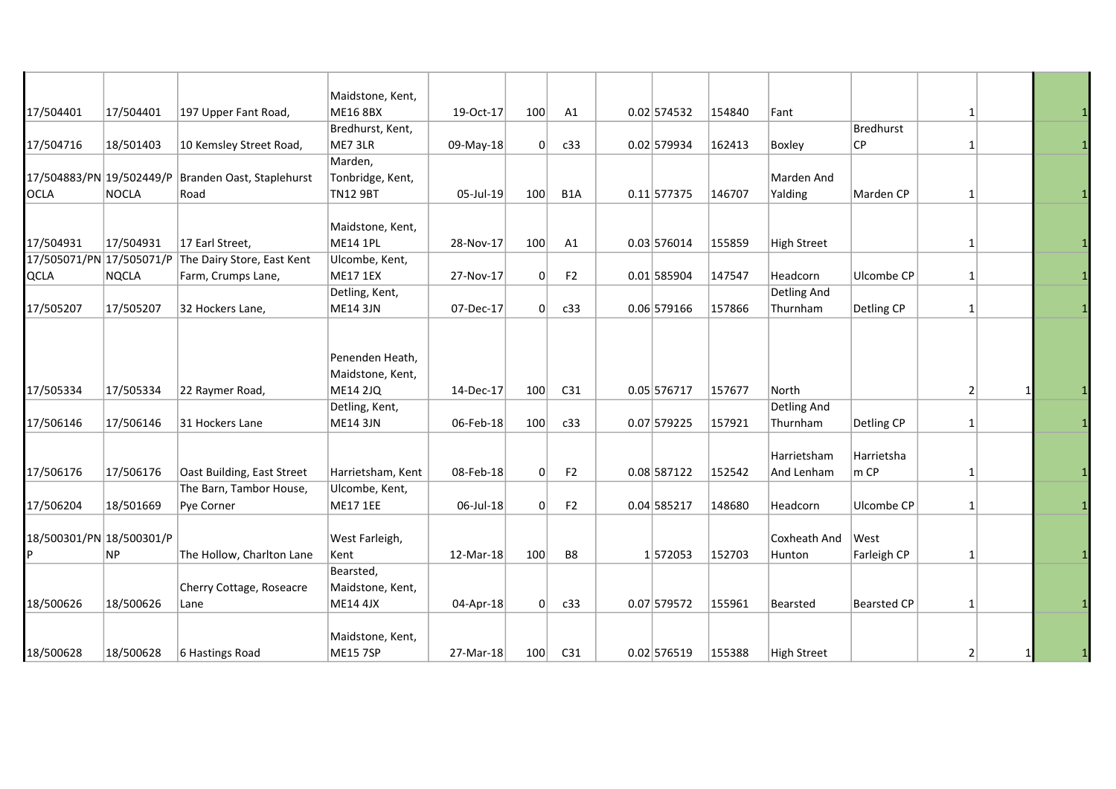|                          |              |                            | Maidstone, Kent,  |           |     |                  |               |        |                    |                          |   |  |
|--------------------------|--------------|----------------------------|-------------------|-----------|-----|------------------|---------------|--------|--------------------|--------------------------|---|--|
| 17/504401                | 17/504401    | 197 Upper Fant Road,       | <b>ME16 8BX</b>   | 19-Oct-17 | 100 | A1               | $0.02$ 574532 | 154840 | Fant               |                          | 1 |  |
|                          |              |                            | Bredhurst, Kent,  |           |     |                  |               |        |                    | <b>Bredhurst</b>         |   |  |
| 17/504716                | 18/501403    | 10 Kemsley Street Road,    | ME7 3LR           | 09-May-18 | 0   | c33              | 0.02 579934   | 162413 | Boxley             | $\overline{\mathsf{CP}}$ | 1 |  |
|                          |              |                            | Marden,           |           |     |                  |               |        |                    |                          |   |  |
| 17/504883/PN 19/502449/P |              | Branden Oast, Staplehurst  | Tonbridge, Kent,  |           |     |                  |               |        | Marden And         |                          |   |  |
| <b>OCLA</b>              | <b>NOCLA</b> | Road                       | <b>TN12 9BT</b>   | 05-Jul-19 | 100 | B <sub>1</sub> A | $0.11$ 577375 | 146707 | Yalding            | Marden CP                | 1 |  |
|                          |              |                            |                   |           |     |                  |               |        |                    |                          |   |  |
|                          |              |                            | Maidstone, Kent,  |           |     |                  |               |        |                    |                          |   |  |
| 17/504931                | 17/504931    | 17 Earl Street,            | <b>ME14 1PL</b>   | 28-Nov-17 | 100 | A1               | 0.03 576014   | 155859 | <b>High Street</b> |                          | 1 |  |
| 17/505071/PN 17/505071/P |              | The Dairy Store, East Kent | Ulcombe, Kent,    |           |     |                  |               |        |                    |                          |   |  |
| <b>QCLA</b>              | <b>NQCLA</b> | Farm, Crumps Lane,         | <b>ME17 1EX</b>   | 27-Nov-17 | 0   | F <sub>2</sub>   | $0.01$ 585904 | 147547 | Headcorn           | Ulcombe CP               | 1 |  |
|                          |              |                            | Detling, Kent,    |           |     |                  |               |        | Detling And        |                          |   |  |
| 17/505207                | 17/505207    | 32 Hockers Lane,           | <b>ME14 3JN</b>   | 07-Dec-17 | 0   | c33              | $0.06$ 579166 | 157866 | Thurnham           | Detling CP               | 1 |  |
|                          |              |                            |                   |           |     |                  |               |        |                    |                          |   |  |
|                          |              |                            |                   |           |     |                  |               |        |                    |                          |   |  |
|                          |              |                            | Penenden Heath,   |           |     |                  |               |        |                    |                          |   |  |
|                          |              |                            | Maidstone, Kent,  |           |     |                  |               |        |                    |                          |   |  |
| 17/505334                | 17/505334    | 22 Raymer Road,            | <b>ME14 2JQ</b>   | 14-Dec-17 | 100 | C31              | 0.05 576717   | 157677 | North              |                          | 2 |  |
|                          |              |                            | Detling, Kent,    |           |     |                  |               |        | Detling And        |                          |   |  |
| 17/506146                | 17/506146    | 31 Hockers Lane            | <b>ME14 3JN</b>   | 06-Feb-18 | 100 | c33              | 0.07 579225   | 157921 | Thurnham           | Detling CP               | 1 |  |
|                          |              |                            |                   |           |     |                  |               |        | Harrietsham        | Harrietsha               |   |  |
| 17/506176                | 17/506176    | Oast Building, East Street | Harrietsham, Kent | 08-Feb-18 | 0   | F <sub>2</sub>   | 0.08 587122   | 152542 | And Lenham         | m CP                     | 1 |  |
|                          |              | The Barn, Tambor House,    | Ulcombe, Kent,    |           |     |                  |               |        |                    |                          |   |  |
| 17/506204                | 18/501669    | Pye Corner                 | <b>ME17 1EE</b>   | 06-Jul-18 | 0   | F <sub>2</sub>   | 0.04 585217   | 148680 | Headcorn           | Ulcombe CP               | 1 |  |
|                          |              |                            |                   |           |     |                  |               |        |                    |                          |   |  |
| 18/500301/PN 18/500301/P |              |                            | West Farleigh,    |           |     |                  |               |        | Coxheath And       | West                     |   |  |
| P                        | <b>NP</b>    | The Hollow, Charlton Lane  | Kent              | 12-Mar-18 | 100 | B8               | 1572053       | 152703 | Hunton             | Farleigh CP              | 1 |  |
|                          |              |                            | Bearsted,         |           |     |                  |               |        |                    |                          |   |  |
|                          |              | Cherry Cottage, Roseacre   | Maidstone, Kent,  |           |     |                  |               |        |                    |                          |   |  |
| 18/500626                | 18/500626    | Lane                       | <b>ME14 4JX</b>   | 04-Apr-18 | 0   | c33              | 0.07 579572   | 155961 | <b>Bearsted</b>    | <b>Bearsted CP</b>       | 1 |  |
|                          |              |                            |                   |           |     |                  |               |        |                    |                          |   |  |
|                          |              |                            | Maidstone, Kent,  |           |     |                  |               |        |                    |                          |   |  |
| 18/500628                | 18/500628    | 6 Hastings Road            | <b>ME15 7SP</b>   | 27-Mar-18 | 100 | C <sub>31</sub>  | $0.02$ 576519 | 155388 | <b>High Street</b> |                          | 2 |  |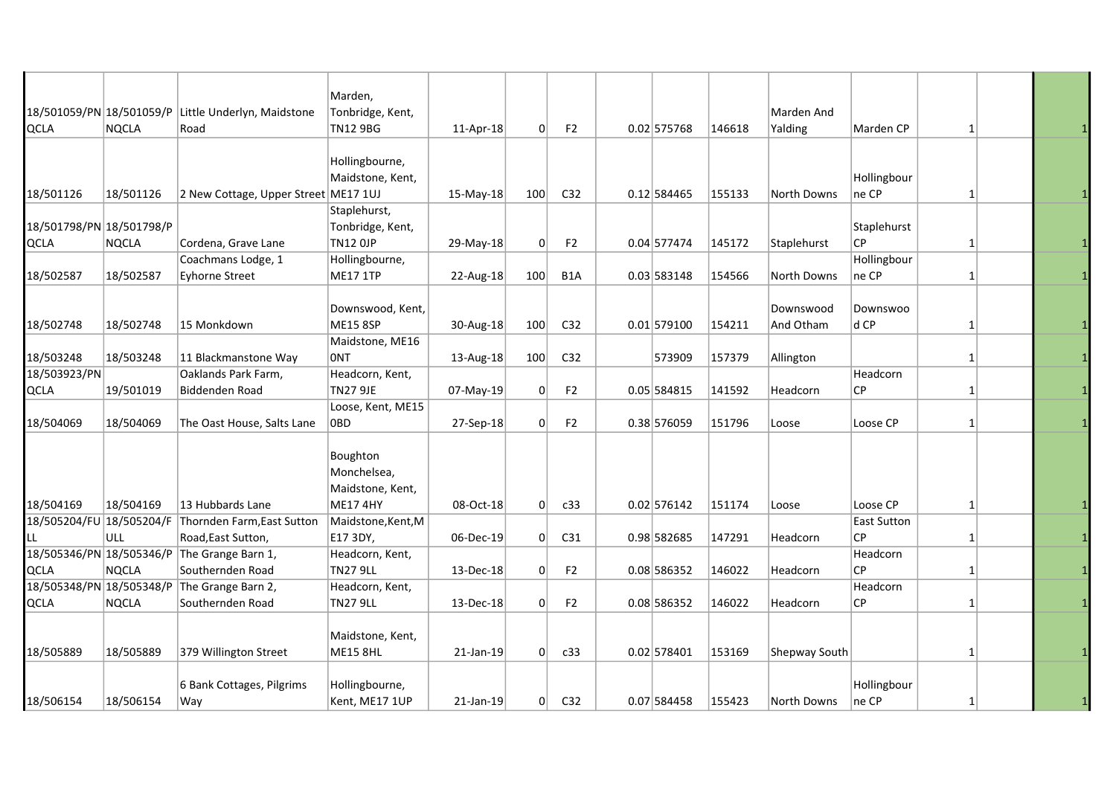|                          |              |                                      | Marden,            |           |     |                  |               |        |               |                    |              |  |
|--------------------------|--------------|--------------------------------------|--------------------|-----------|-----|------------------|---------------|--------|---------------|--------------------|--------------|--|
| 18/501059/PN 18/501059/P |              | Little Underlyn, Maidstone           | Tonbridge, Kent,   |           |     |                  |               |        | Marden And    |                    |              |  |
| QCLA                     | <b>NQCLA</b> | Road                                 | <b>TN12 9BG</b>    | 11-Apr-18 | 0   | F <sub>2</sub>   | 0.02 575768   | 146618 | Yalding       | Marden CP          | $\mathbf{1}$ |  |
|                          |              |                                      |                    |           |     |                  |               |        |               |                    |              |  |
|                          |              |                                      | Hollingbourne,     |           |     |                  |               |        |               |                    |              |  |
|                          |              |                                      | Maidstone, Kent,   |           |     |                  |               |        |               | Hollingbour        |              |  |
| 18/501126                | 18/501126    | 2 New Cottage, Upper Street ME17 1UJ |                    | 15-May-18 | 100 | C <sub>32</sub>  | 0.12 584465   | 155133 | North Downs   | ne CP              | $\mathbf{1}$ |  |
|                          |              |                                      | Staplehurst,       |           |     |                  |               |        |               |                    |              |  |
| 18/501798/PN 18/501798/P |              |                                      | Tonbridge, Kent,   |           |     |                  |               |        |               | Staplehurst        |              |  |
| QCLA                     | <b>NQCLA</b> | Cordena, Grave Lane                  | <b>TN12 OJP</b>    | 29-May-18 | 0   | F <sub>2</sub>   | 0.04 577474   | 145172 | Staplehurst   | <b>CP</b>          | $\mathbf{1}$ |  |
|                          |              | Coachmans Lodge, 1                   | Hollingbourne,     |           |     |                  |               |        |               | Hollingbour        |              |  |
| 18/502587                | 18/502587    | <b>Eyhorne Street</b>                | <b>ME17 1TP</b>    | 22-Aug-18 | 100 | B <sub>1</sub> A | 0.03 583148   | 154566 | North Downs   | ne CP              | 1            |  |
|                          |              |                                      |                    |           |     |                  |               |        |               |                    |              |  |
|                          |              |                                      | Downswood, Kent,   |           |     |                  |               |        | Downswood     | Downswoo           |              |  |
| 18/502748                | 18/502748    | 15 Monkdown                          | <b>ME15 8SP</b>    | 30-Aug-18 | 100 | C <sub>32</sub>  | $0.01$ 579100 | 154211 | And Otham     | d CP               | 1            |  |
|                          |              |                                      | Maidstone, ME16    |           |     |                  |               |        |               |                    |              |  |
| 18/503248                | 18/503248    | 11 Blackmanstone Way                 | <b>ONT</b>         | 13-Aug-18 | 100 | C32              | 573909        | 157379 | Allington     |                    | $\mathbf{1}$ |  |
| 18/503923/PN             |              | Oaklands Park Farm,                  | Headcorn, Kent,    |           |     |                  |               |        |               | Headcorn           |              |  |
| QCLA                     | 19/501019    | Biddenden Road                       | <b>TN27 9JE</b>    | 07-May-19 | 0   | F <sub>2</sub>   | 0.05 584815   | 141592 | Headcorn      | СP                 | 1            |  |
|                          |              |                                      | Loose, Kent, ME15  |           |     |                  |               |        |               |                    |              |  |
| 18/504069                | 18/504069    | The Oast House, Salts Lane           | 0BD                | 27-Sep-18 | 0   | F <sub>2</sub>   | 0.38 576059   | 151796 | Loose         | Loose CP           | $\mathbf{1}$ |  |
|                          |              |                                      |                    |           |     |                  |               |        |               |                    |              |  |
|                          |              |                                      | Boughton           |           |     |                  |               |        |               |                    |              |  |
|                          |              |                                      | Monchelsea,        |           |     |                  |               |        |               |                    |              |  |
|                          |              |                                      | Maidstone, Kent,   |           |     |                  |               |        |               |                    |              |  |
| 18/504169                | 18/504169    | 13 Hubbards Lane                     | <b>ME17 4HY</b>    | 08-Oct-18 | 0   | c33              | 0.02 576142   | 151174 | Loose         | Loose CP           | 1            |  |
| 18/505204/FU 18/505204/F |              | Thornden Farm, East Sutton           | Maidstone, Kent, M |           |     |                  |               |        |               | <b>East Sutton</b> |              |  |
| LL.                      | <b>ULL</b>   | Road, East Sutton,                   | E17 3DY,           | 06-Dec-19 | 0   | C31              | 0.98 582685   | 147291 | Headcorn      | СP                 | 1            |  |
| 18/505346/PN 18/505346/P |              | The Grange Barn 1,                   | Headcorn, Kent,    |           |     |                  |               |        |               | Headcorn           |              |  |
| QCLA                     | NQCLA        | Southernden Road                     | <b>TN27 9LL</b>    | 13-Dec-18 | 0   | F <sub>2</sub>   | 0.08 586352   | 146022 | Headcorn      | СP                 | $\mathbf{1}$ |  |
| 18/505348/PN 18/505348/P |              | The Grange Barn 2,                   | Headcorn, Kent,    |           |     |                  |               |        |               | Headcorn           |              |  |
| QCLA                     | <b>NQCLA</b> | Southernden Road                     | <b>TN27 9LL</b>    | 13-Dec-18 | 0   | F <sub>2</sub>   | 0.08 586352   | 146022 | Headcorn      | СP                 | 1            |  |
|                          |              |                                      |                    |           |     |                  |               |        |               |                    |              |  |
|                          |              |                                      | Maidstone, Kent,   |           |     |                  |               |        |               |                    |              |  |
| 18/505889                | 18/505889    | 379 Willington Street                | <b>ME15 8HL</b>    | 21-Jan-19 | 0   | c33              | $0.02$ 578401 | 153169 | Shepway South |                    | 1            |  |
|                          |              |                                      |                    |           |     |                  |               |        |               |                    |              |  |
|                          |              | 6 Bank Cottages, Pilgrims            | Hollingbourne,     |           |     |                  |               |        |               | Hollingbour        |              |  |
| 18/506154                | 18/506154    | Way                                  | Kent, ME17 1UP     | 21-Jan-19 | 0   | C32              | 0.07 584458   | 155423 | North Downs   | ne CP              | 1            |  |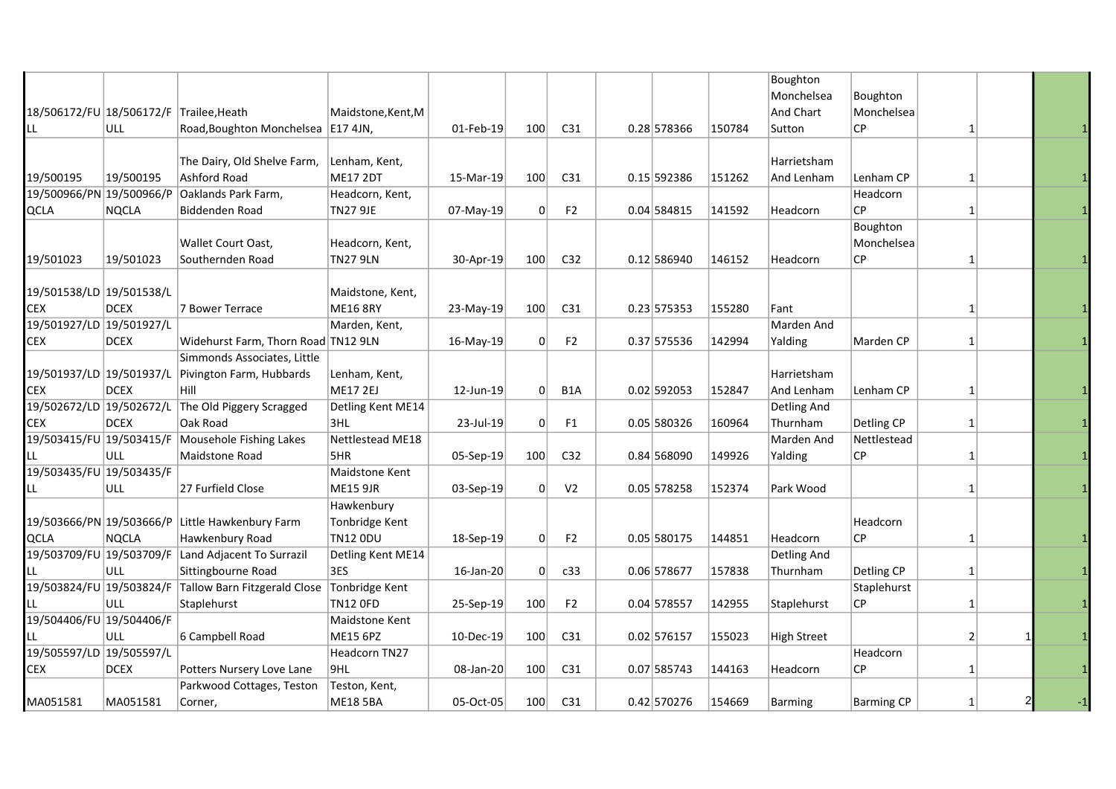|                                         |              |                                                       |                    |           |     |                  |               |        | Boughton           |                   |              |  |
|-----------------------------------------|--------------|-------------------------------------------------------|--------------------|-----------|-----|------------------|---------------|--------|--------------------|-------------------|--------------|--|
|                                         |              |                                                       |                    |           |     |                  |               |        | Monchelsea         | Boughton          |              |  |
| 18/506172/FU 18/506172/F Trailee, Heath |              |                                                       | Maidstone, Kent, M |           |     |                  |               |        | And Chart          | Monchelsea        |              |  |
| LL                                      | <b>ULL</b>   | Road, Boughton Monchelsea   E17 4JN,                  |                    | 01-Feb-19 | 100 | C <sub>31</sub>  | 0.28 578366   | 150784 | Sutton             | CP.               | $\mathbf{1}$ |  |
|                                         |              |                                                       |                    |           |     |                  |               |        |                    |                   |              |  |
|                                         |              | The Dairy, Old Shelve Farm,                           | Lenham, Kent,      |           |     |                  |               |        | Harrietsham        |                   |              |  |
| 19/500195                               | 19/500195    | Ashford Road                                          | <b>ME17 2DT</b>    | 15-Mar-19 | 100 | C31              | 0.15 592386   | 151262 | And Lenham         | Lenham CP         | 1            |  |
| 19/500966/PN 19/500966/P                |              | Oaklands Park Farm,                                   | Headcorn, Kent,    |           |     |                  |               |        |                    | Headcorn          |              |  |
| <b>QCLA</b>                             | <b>NQCLA</b> | Biddenden Road                                        | <b>TN27 9JE</b>    | 07-May-19 | 0   | F <sub>2</sub>   | 0.04 584815   | 141592 | Headcorn           | СP                | $\mathbf{1}$ |  |
|                                         |              |                                                       |                    |           |     |                  |               |        |                    | Boughton          |              |  |
|                                         |              | Wallet Court Oast,                                    | Headcorn, Kent,    |           |     |                  |               |        |                    | Monchelsea        |              |  |
| 19/501023                               | 19/501023    | Southernden Road                                      | <b>TN27 9LN</b>    | 30-Apr-19 | 100 | C32              | $0.12$ 586940 | 146152 | Headcorn           | СP                | $\mathbf{1}$ |  |
|                                         |              |                                                       |                    |           |     |                  |               |        |                    |                   |              |  |
| 19/501538/LD 19/501538/L                |              |                                                       | Maidstone, Kent,   |           |     |                  |               |        |                    |                   |              |  |
| <b>CEX</b>                              | <b>DCEX</b>  | 7 Bower Terrace                                       | <b>ME16 8RY</b>    | 23-May-19 | 100 | C31              | $0.23$ 575353 | 155280 | Fant               |                   | 1            |  |
| 19/501927/LD 19/501927/L                |              |                                                       | Marden, Kent,      |           |     |                  |               |        | Marden And         |                   |              |  |
| CEX                                     | <b>DCEX</b>  | Widehurst Farm, Thorn Road TN12 9LN                   |                    | 16-May-19 | 0   | F <sub>2</sub>   | 0.37 575536   | 142994 | Yalding            | Marden CP         | $\mathbf{1}$ |  |
|                                         |              | Simmonds Associates, Little                           |                    |           |     |                  |               |        |                    |                   |              |  |
|                                         |              | Pivington Farm, Hubbards                              | Lenham, Kent,      |           |     |                  |               |        | Harrietsham        |                   |              |  |
| <b>CEX</b>                              | <b>DCEX</b>  | Hill                                                  | <b>ME17 2EJ</b>    | 12-Jun-19 | 0   | B <sub>1</sub> A | 0.02 592053   | 152847 | And Lenham         | Lenham CP         | 1            |  |
| 19/502672/LD 19/502672/L                |              | The Old Piggery Scragged                              | Detling Kent ME14  |           |     |                  |               |        | Detling And        |                   |              |  |
| <b>CEX</b>                              | <b>DCEX</b>  | Oak Road                                              | 3HL                | 23-Jul-19 | 0   | F <sub>1</sub>   | 0.05 580326   | 160964 | Thurnham           | Detling CP        | 1            |  |
| 19/503415/FU 19/503415/F                |              | Mousehole Fishing Lakes                               | Nettlestead ME18   |           |     |                  |               |        | Marden And         | Nettlestead       |              |  |
| LL                                      | ULL          | Maidstone Road                                        | 5HR                | 05-Sep-19 | 100 | C <sub>32</sub>  | $0.84$ 568090 | 149926 | Yalding            | СP                | $\mathbf{1}$ |  |
| 19/503435/FU 19/503435/F                |              |                                                       | Maidstone Kent     |           |     |                  |               |        |                    |                   |              |  |
| LL                                      | <b>ULL</b>   | 27 Furfield Close                                     | <b>ME15 9JR</b>    | 03-Sep-19 | 0   | V <sub>2</sub>   | 0.05 578258   | 152374 | Park Wood          |                   | $\mathbf{1}$ |  |
|                                         |              |                                                       | Hawkenbury         |           |     |                  |               |        |                    |                   |              |  |
|                                         |              | 19/503666/PN 19/503666/P Little Hawkenbury Farm       | Tonbridge Kent     |           |     |                  |               |        |                    | Headcorn          |              |  |
| <b>QCLA</b>                             | <b>NQCLA</b> | Hawkenbury Road                                       | <b>TN12 ODU</b>    | 18-Sep-19 | 0   | F <sub>2</sub>   | 0.05 580175   | 144851 | Headcorn           | СP                | $\mathbf{1}$ |  |
| 19/503709/FU 19/503709/F                |              | Land Adjacent To Surrazil                             | Detling Kent ME14  |           |     |                  |               |        | Detling And        |                   |              |  |
|                                         | <b>ULL</b>   | Sittingbourne Road                                    | 3ES                | 16-Jan-20 | 0   | c33              | 0.06 578677   | 157838 | Thurnham           | Detling CP        | $\mathbf{1}$ |  |
|                                         |              | 19/503824/FU 19/503824/F Tallow Barn Fitzgerald Close | Tonbridge Kent     |           |     |                  |               |        |                    | Staplehurst       |              |  |
|                                         | ULL          | Staplehurst                                           | <b>TN12 OFD</b>    | 25-Sep-19 | 100 | F <sub>2</sub>   | 0.04 578557   | 142955 | Staplehurst        | СP                | 1            |  |
| 19/504406/FU 19/504406/F                |              |                                                       | Maidstone Kent     |           |     |                  |               |        |                    |                   |              |  |
| LL                                      | <b>ULL</b>   | 6 Campbell Road                                       | <b>ME15 6PZ</b>    | 10-Dec-19 | 100 | C <sub>31</sub>  | 0.02 576157   | 155023 | <b>High Street</b> |                   | 2            |  |
| 19/505597/LD 19/505597/L                |              |                                                       | Headcorn TN27      |           |     |                  |               |        |                    | Headcorn          |              |  |
| <b>CEX</b>                              | <b>DCEX</b>  | Potters Nursery Love Lane                             | 9HL                | 08-Jan-20 | 100 | C31              | 0.07 585743   | 144163 | Headcorn           | СP                | $1\vert$     |  |
|                                         |              | Parkwood Cottages, Teston                             | Teston, Kent,      |           |     |                  |               |        |                    |                   |              |  |
| MA051581                                | MA051581     | Corner,                                               | <b>ME18 5BA</b>    | 05-Oct-05 | 100 | C <sub>31</sub>  | 0.42 570276   | 154669 | <b>Barming</b>     | <b>Barming CP</b> | 1            |  |